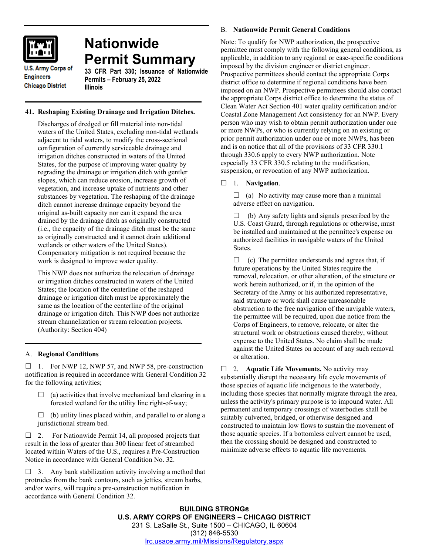

# **Nationwide Permit Summary**

**U.S. Army Corps of Engineers Chicago District** 

**33 CFR Part 330; Issuance of Nationwide Permits – February 25, 2022 Illinois**

# **41. Reshaping Existing Drainage and Irrigation Ditches.**

Discharges of dredged or fill material into non-tidal waters of the United States, excluding non-tidal wetlands adjacent to tidal waters, to modify the cross-sectional configuration of currently serviceable drainage and irrigation ditches constructed in waters of the United States, for the purpose of improving water quality by regrading the drainage or irrigation ditch with gentler slopes, which can reduce erosion, increase growth of vegetation, and increase uptake of nutrients and other substances by vegetation. The reshaping of the drainage ditch cannot increase drainage capacity beyond the original as-built capacity nor can it expand the area drained by the drainage ditch as originally constructed (i.e., the capacity of the drainage ditch must be the same as originally constructed and it cannot drain additional wetlands or other waters of the United States). Compensatory mitigation is not required because the work is designed to improve water quality.

This NWP does not authorize the relocation of drainage or irrigation ditches constructed in waters of the United States; the location of the centerline of the reshaped drainage or irrigation ditch must be approximately the same as the location of the centerline of the original drainage or irrigation ditch. This NWP does not authorize stream channelization or stream relocation projects. (Authority: Section 404)

# A. **Regional Conditions**

 $\Box$  1. For NWP 12, NWP 57, and NWP 58, pre-construction notification is required in accordance with General Condition 32 for the following activities;

- $\Box$  (a) activities that involve mechanized land clearing in a forested wetland for the utility line right-of-way;
- $\Box$  (b) utility lines placed within, and parallel to or along a jurisdictional stream bed.

 $\Box$  2. For Nationwide Permit 14, all proposed projects that result in the loss of greater than 300 linear feet of streambed located within Waters of the U.S., requires a Pre-Construction Notice in accordance with General Condition No. 32.

 $\Box$  3. Any bank stabilization activity involving a method that protrudes from the bank contours, such as jetties, stream barbs, and/or weirs, will require a pre-construction notification in accordance with General Condition 32.

## B. **Nationwide Permit General Conditions**

Note: To qualify for NWP authorization, the prospective permittee must comply with the following general conditions, as applicable, in addition to any regional or case-specific conditions imposed by the division engineer or district engineer. Prospective permittees should contact the appropriate Corps district office to determine if regional conditions have been imposed on an NWP. Prospective permittees should also contact the appropriate Corps district office to determine the status of Clean Water Act Section 401 water quality certification and/or Coastal Zone Management Act consistency for an NWP. Every person who may wish to obtain permit authorization under one or more NWPs, or who is currently relying on an existing or prior permit authorization under one or more NWPs, has been and is on notice that all of the provisions of 33 CFR 330.1 through 330.6 apply to every NWP authorization. Note especially 33 CFR 330.5 relating to the modification, suspension, or revocation of any NWP authorization.

# 1. **Navigation**.

 $\Box$  (a) No activity may cause more than a minimal adverse effect on navigation.

 $\Box$  (b) Any safety lights and signals prescribed by the U.S. Coast Guard, through regulations or otherwise, must be installed and maintained at the permittee's expense on authorized facilities in navigable waters of the United States.

 $\Box$  (c) The permittee understands and agrees that, if future operations by the United States require the removal, relocation, or other alteration, of the structure or work herein authorized, or if, in the opinion of the Secretary of the Army or his authorized representative, said structure or work shall cause unreasonable obstruction to the free navigation of the navigable waters, the permittee will be required, upon due notice from the Corps of Engineers, to remove, relocate, or alter the structural work or obstructions caused thereby, without expense to the United States. No claim shall be made against the United States on account of any such removal or alteration.

□ 2. **Aquatic Life Movements.** No activity may substantially disrupt the necessary life cycle movements of those species of aquatic life indigenous to the waterbody, including those species that normally migrate through the area, unless the activity's primary purpose is to impound water. All permanent and temporary crossings of waterbodies shall be suitably culverted, bridged, or otherwise designed and constructed to maintain low flows to sustain the movement of those aquatic species. If a bottomless culvert cannot be used, then the crossing should be designed and constructed to minimize adverse effects to aquatic life movements.

**BUILDING STRONG® U.S. ARMY CORPS OF ENGINEERS – CHICAGO DISTRICT** 231 S. LaSalle St., Suite 1500 – CHICAGO, IL 60604 (312) 846-5530 [lrc.usace.army.mil/Missions/Regulatory.aspx](https://www.lrc.usace.army.mil/Missions/Regulatory.aspx)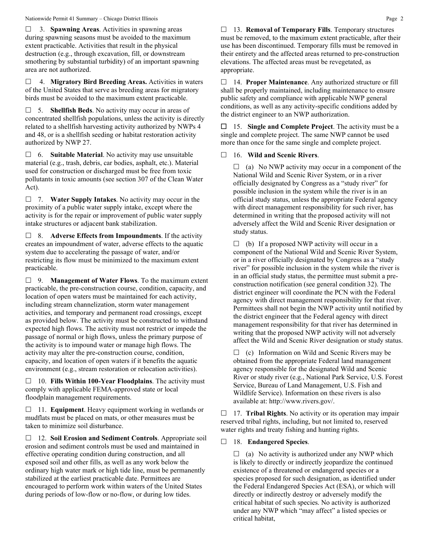#### Nationwide Permit 41 Summary – Chicago District Illinois **Page 2** Page 2

 3. **Spawning Areas**. Activities in spawning areas during spawning seasons must be avoided to the maximum extent practicable. Activities that result in the physical destruction (e.g., through excavation, fill, or downstream smothering by substantial turbidity) of an important spawning area are not authorized.

 4. **Migratory Bird Breeding Areas.** Activities in waters of the United States that serve as breeding areas for migratory birds must be avoided to the maximum extent practicable.

 5. **Shellfish Beds**. No activity may occur in areas of concentrated shellfish populations, unless the activity is directly related to a shellfish harvesting activity authorized by NWPs 4 and 48, or is a shellfish seeding or habitat restoration activity authorized by NWP 27.

 6. **Suitable Material**. No activity may use unsuitable material (e.g., trash, debris, car bodies, asphalt, etc.). Material used for construction or discharged must be free from toxic pollutants in toxic amounts (see section 307 of the Clean Water Act).

 7. **Water Supply Intakes**. No activity may occur in the proximity of a public water supply intake, except where the activity is for the repair or improvement of public water supply intake structures or adjacent bank stabilization.

 8. **Adverse Effects from Impoundments**. If the activity creates an impoundment of water, adverse effects to the aquatic system due to accelerating the passage of water, and/or restricting its flow must be minimized to the maximum extent practicable.

 9. **Management of Water Flows**. To the maximum extent practicable, the pre-construction course, condition, capacity, and location of open waters must be maintained for each activity, including stream channelization, storm water management activities, and temporary and permanent road crossings, except as provided below. The activity must be constructed to withstand expected high flows. The activity must not restrict or impede the passage of normal or high flows, unless the primary purpose of the activity is to impound water or manage high flows. The activity may alter the pre-construction course, condition, capacity, and location of open waters if it benefits the aquatic environment (e.g., stream restoration or relocation activities).

 10. **Fills Within 100-Year Floodplains**. The activity must comply with applicable FEMA-approved state or local floodplain management requirements.

□ 11. **Equipment**. Heavy equipment working in wetlands or mudflats must be placed on mats, or other measures must be taken to minimize soil disturbance.

 12. **Soil Erosion and Sediment Controls**. Appropriate soil erosion and sediment controls must be used and maintained in effective operating condition during construction, and all exposed soil and other fills, as well as any work below the ordinary high water mark or high tide line, must be permanently stabilized at the earliest practicable date. Permittees are encouraged to perform work within waters of the United States during periods of low-flow or no-flow, or during low tides.

 13. **Removal of Temporary Fills**. Temporary structures must be removed, to the maximum extent practicable, after their use has been discontinued. Temporary fills must be removed in their entirety and the affected areas returned to pre-construction elevations. The affected areas must be revegetated, as appropriate.

 14. **Proper Maintenance**. Any authorized structure or fill shall be properly maintained, including maintenance to ensure public safety and compliance with applicable NWP general conditions, as well as any activity-specific conditions added by the district engineer to an NWP authorization.

 15. **Single and Complete Project**. The activity must be a single and complete project. The same NWP cannot be used more than once for the same single and complete project.

# 16. **Wild and Scenic Rivers**.

 $\Box$  (a) No NWP activity may occur in a component of the National Wild and Scenic River System, or in a river officially designated by Congress as a "study river" for possible inclusion in the system while the river is in an official study status, unless the appropriate Federal agency with direct management responsibility for such river, has determined in writing that the proposed activity will not adversely affect the Wild and Scenic River designation or study status.

 $\Box$  (b) If a proposed NWP activity will occur in a component of the National Wild and Scenic River System, or in a river officially designated by Congress as a "study river" for possible inclusion in the system while the river is in an official study status, the permittee must submit a preconstruction notification (see general condition 32). The district engineer will coordinate the PCN with the Federal agency with direct management responsibility for that river. Permittees shall not begin the NWP activity until notified by the district engineer that the Federal agency with direct management responsibility for that river has determined in writing that the proposed NWP activity will not adversely affect the Wild and Scenic River designation or study status.

 $\Box$  (c) Information on Wild and Scenic Rivers may be obtained from the appropriate Federal land management agency responsible for the designated Wild and Scenic River or study river (e.g., National Park Service, U.S. Forest Service, Bureau of Land Management, U.S. Fish and Wildlife Service). Information on these rivers is also available at: http://www.rivers.gov/.

 17. **Tribal Rights**. No activity or its operation may impair reserved tribal rights, including, but not limited to, reserved water rights and treaty fishing and hunting rights.

# 18. **Endangered Species**.

 $\Box$  (a) No activity is authorized under any NWP which is likely to directly or indirectly jeopardize the continued existence of a threatened or endangered species or a species proposed for such designation, as identified under the Federal Endangered Species Act (ESA), or which will directly or indirectly destroy or adversely modify the critical habitat of such species. No activity is authorized under any NWP which "may affect" a listed species or critical habitat,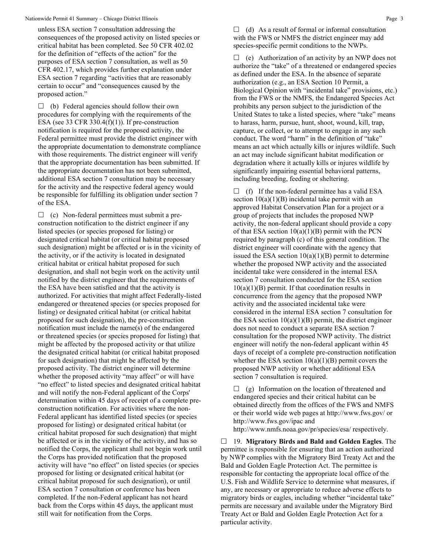### Nationwide Permit 41 Summary – Chicago District Illinois **Page 3** and the state of the state of the state of the state of the state of the state of the state of the state of the state of the state of the state of the state

unless ESA section 7 consultation addressing the consequences of the proposed activity on listed species or critical habitat has been completed. See 50 CFR 402.02 for the definition of "effects of the action" for the purposes of ESA section 7 consultation, as well as 50 CFR 402.17, which provides further explanation under ESA section 7 regarding "activities that are reasonably certain to occur" and "consequences caused by the proposed action."

 $\Box$  (b) Federal agencies should follow their own procedures for complying with the requirements of the ESA (see 33 CFR 330.4 $(f)(1)$ ). If pre-construction notification is required for the proposed activity, the Federal permittee must provide the district engineer with the appropriate documentation to demonstrate compliance with those requirements. The district engineer will verify that the appropriate documentation has been submitted. If the appropriate documentation has not been submitted, additional ESA section 7 consultation may be necessary for the activity and the respective federal agency would be responsible for fulfilling its obligation under section 7 of the ESA.

 $\Box$  (c) Non-federal permittees must submit a preconstruction notification to the district engineer if any listed species (or species proposed for listing) or designated critical habitat (or critical habitat proposed such designation) might be affected or is in the vicinity of the activity, or if the activity is located in designated critical habitat or critical habitat proposed for such designation, and shall not begin work on the activity until notified by the district engineer that the requirements of the ESA have been satisfied and that the activity is authorized. For activities that might affect Federally-listed endangered or threatened species (or species proposed for listing) or designated critical habitat (or critical habitat proposed for such designation), the pre-construction notification must include the name(s) of the endangered or threatened species (or species proposed for listing) that might be affected by the proposed activity or that utilize the designated critical habitat (or critical habitat proposed for such designation) that might be affected by the proposed activity. The district engineer will determine whether the proposed activity "may affect" or will have "no effect" to listed species and designated critical habitat and will notify the non-Federal applicant of the Corps' determination within 45 days of receipt of a complete preconstruction notification. For activities where the non-Federal applicant has identified listed species (or species proposed for listing) or designated critical habitat (or critical habitat proposed for such designation) that might be affected or is in the vicinity of the activity, and has so notified the Corps, the applicant shall not begin work until the Corps has provided notification that the proposed activity will have "no effect" on listed species (or species proposed for listing or designated critical habitat (or critical habitat proposed for such designation), or until ESA section 7 consultation or conference has been completed. If the non-Federal applicant has not heard back from the Corps within 45 days, the applicant must still wait for notification from the Corps.

 $\Box$  (d) As a result of formal or informal consultation with the FWS or NMFS the district engineer may add species-specific permit conditions to the NWPs.

 $\Box$  (e) Authorization of an activity by an NWP does not authorize the "take" of a threatened or endangered species as defined under the ESA. In the absence of separate authorization (e.g., an ESA Section 10 Permit, a Biological Opinion with "incidental take" provisions, etc.) from the FWS or the NMFS, the Endangered Species Act prohibits any person subject to the jurisdiction of the United States to take a listed species, where "take" means to harass, harm, pursue, hunt, shoot, wound, kill, trap, capture, or collect, or to attempt to engage in any such conduct. The word "harm" in the definition of "take" means an act which actually kills or injures wildlife. Such an act may include significant habitat modification or degradation where it actually kills or injures wildlife by significantly impairing essential behavioral patterns, including breeding, feeding or sheltering.

 $\Box$  (f) If the non-federal permittee has a valid ESA section  $10(a)(1)(B)$  incidental take permit with an approved Habitat Conservation Plan for a project or a group of projects that includes the proposed NWP activity, the non-federal applicant should provide a copy of that ESA section  $10(a)(1)(B)$  permit with the PCN required by paragraph (c) of this general condition. The district engineer will coordinate with the agency that issued the ESA section  $10(a)(1)(B)$  permit to determine whether the proposed NWP activity and the associated incidental take were considered in the internal ESA section 7 consultation conducted for the ESA section  $10(a)(1)(B)$  permit. If that coordination results in concurrence from the agency that the proposed NWP activity and the associated incidental take were considered in the internal ESA section 7 consultation for the ESA section  $10(a)(1)(B)$  permit, the district engineer does not need to conduct a separate ESA section 7 consultation for the proposed NWP activity. The district engineer will notify the non-federal applicant within 45 days of receipt of a complete pre-construction notification whether the ESA section  $10(a)(1)(B)$  permit covers the proposed NWP activity or whether additional ESA section 7 consultation is required.

 $\Box$  (g) Information on the location of threatened and endangered species and their critical habitat can be obtained directly from the offices of the FWS and NMFS or their world wide web pages at http://www.fws.gov/ or http://www.fws.gov/ipac and http://www.nmfs.noaa.gov/pr/species/esa/ respectively.

 19. **Migratory Birds and Bald and Golden Eagles**. The permittee is responsible for ensuring that an action authorized by NWP complies with the Migratory Bird Treaty Act and the Bald and Golden Eagle Protection Act. The permittee is responsible for contacting the appropriate local office of the U.S. Fish and Wildlife Service to determine what measures, if any, are necessary or appropriate to reduce adverse effects to migratory birds or eagles, including whether "incidental take" permits are necessary and available under the Migratory Bird Treaty Act or Bald and Golden Eagle Protection Act for a particular activity.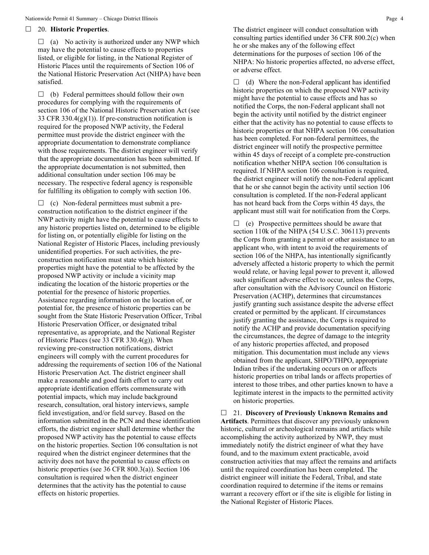#### 20. **Historic Properties**.

 $\Box$  (a) No activity is authorized under any NWP which may have the potential to cause effects to properties listed, or eligible for listing, in the National Register of Historic Places until the requirements of Section 106 of the National Historic Preservation Act (NHPA) have been satisfied.

 $\Box$  (b) Federal permittees should follow their own procedures for complying with the requirements of section 106 of the National Historic Preservation Act (see 33 CFR 330.4(g)(1)). If pre-construction notification is required for the proposed NWP activity, the Federal permittee must provide the district engineer with the appropriate documentation to demonstrate compliance with those requirements. The district engineer will verify that the appropriate documentation has been submitted. If the appropriate documentation is not submitted, then additional consultation under section 106 may be necessary. The respective federal agency is responsible for fulfilling its obligation to comply with section 106.

 $\Box$  (c) Non-federal permittees must submit a preconstruction notification to the district engineer if the NWP activity might have the potential to cause effects to any historic properties listed on, determined to be eligible for listing on, or potentially eligible for listing on the National Register of Historic Places, including previously unidentified properties. For such activities, the preconstruction notification must state which historic properties might have the potential to be affected by the proposed NWP activity or include a vicinity map indicating the location of the historic properties or the potential for the presence of historic properties. Assistance regarding information on the location of, or potential for, the presence of historic properties can be sought from the State Historic Preservation Officer, Tribal Historic Preservation Officer, or designated tribal representative, as appropriate, and the National Register of Historic Places (see 33 CFR 330.4(g)). When reviewing pre-construction notifications, district engineers will comply with the current procedures for addressing the requirements of section 106 of the National Historic Preservation Act. The district engineer shall make a reasonable and good faith effort to carry out appropriate identification efforts commensurate with potential impacts, which may include background research, consultation, oral history interviews, sample field investigation, and/or field survey. Based on the information submitted in the PCN and these identification efforts, the district engineer shall determine whether the proposed NWP activity has the potential to cause effects on the historic properties. Section 106 consultation is not required when the district engineer determines that the activity does not have the potential to cause effects on historic properties (see 36 CFR 800.3(a)). Section 106 consultation is required when the district engineer determines that the activity has the potential to cause effects on historic properties.

The district engineer will conduct consultation with consulting parties identified under 36 CFR 800.2(c) when he or she makes any of the following effect determinations for the purposes of section 106 of the NHPA: No historic properties affected, no adverse effect, or adverse effect.

 $\Box$  (d) Where the non-Federal applicant has identified historic properties on which the proposed NWP activity might have the potential to cause effects and has so notified the Corps, the non-Federal applicant shall not begin the activity until notified by the district engineer either that the activity has no potential to cause effects to historic properties or that NHPA section 106 consultation has been completed. For non-federal permittees, the district engineer will notify the prospective permittee within 45 days of receipt of a complete pre-construction notification whether NHPA section 106 consultation is required. If NHPA section 106 consultation is required, the district engineer will notify the non-Federal applicant that he or she cannot begin the activity until section 106 consultation is completed. If the non-Federal applicant has not heard back from the Corps within 45 days, the applicant must still wait for notification from the Corps.

 $\Box$  (e) Prospective permittees should be aware that section 110k of the NHPA (54 U.S.C. 306113) prevents the Corps from granting a permit or other assistance to an applicant who, with intent to avoid the requirements of section 106 of the NHPA, has intentionally significantly adversely affected a historic property to which the permit would relate, or having legal power to prevent it, allowed such significant adverse effect to occur, unless the Corps, after consultation with the Advisory Council on Historic Preservation (ACHP), determines that circumstances justify granting such assistance despite the adverse effect created or permitted by the applicant. If circumstances justify granting the assistance, the Corps is required to notify the ACHP and provide documentation specifying the circumstances, the degree of damage to the integrity of any historic properties affected, and proposed mitigation. This documentation must include any views obtained from the applicant, SHPO/THPO, appropriate Indian tribes if the undertaking occurs on or affects historic properties on tribal lands or affects properties of interest to those tribes, and other parties known to have a legitimate interest in the impacts to the permitted activity on historic properties.

 21. **Discovery of Previously Unknown Remains and Artifacts**. Permittees that discover any previously unknown historic, cultural or archeological remains and artifacts while accomplishing the activity authorized by NWP, they must immediately notify the district engineer of what they have found, and to the maximum extent practicable, avoid construction activities that may affect the remains and artifacts until the required coordination has been completed. The district engineer will initiate the Federal, Tribal, and state coordination required to determine if the items or remains warrant a recovery effort or if the site is eligible for listing in the National Register of Historic Places.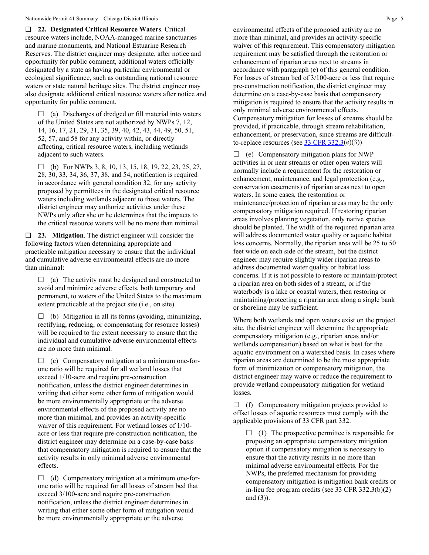**22. Designated Critical Resource Waters**. Critical resource waters include, NOAA-managed marine sanctuaries and marine monuments, and National Estuarine Research Reserves. The district engineer may designate, after notice and opportunity for public comment, additional waters officially designated by a state as having particular environmental or ecological significance, such as outstanding national resource waters or state natural heritage sites. The district engineer may also designate additional critical resource waters after notice and opportunity for public comment.

 $\Box$  (a) Discharges of dredged or fill material into waters of the United States are not authorized by NWPs 7, 12, 14, 16, 17, 21, 29, 31, 35, 39, 40, 42, 43, 44, 49, 50, 51, 52, 57, and 58 for any activity within, or directly affecting, critical resource waters, including wetlands adjacent to such waters.

 $\Box$  (b) For NWPs 3, 8, 10, 13, 15, 18, 19, 22, 23, 25, 27, 28, 30, 33, 34, 36, 37, 38, and 54, notification is required in accordance with general condition 32, for any activity proposed by permittees in the designated critical resource waters including wetlands adjacent to those waters. The district engineer may authorize activities under these NWPs only after she or he determines that the impacts to the critical resource waters will be no more than minimal.

 **23. Mitigation**. The district engineer will consider the following factors when determining appropriate and practicable mitigation necessary to ensure that the individual and cumulative adverse environmental effects are no more than minimal:

 $\Box$  (a) The activity must be designed and constructed to avoid and minimize adverse effects, both temporary and permanent, to waters of the United States to the maximum extent practicable at the project site (i.e., on site).

 $\Box$  (b) Mitigation in all its forms (avoiding, minimizing, rectifying, reducing, or compensating for resource losses) will be required to the extent necessary to ensure that the individual and cumulative adverse environmental effects are no more than minimal.

 $\Box$  (c) Compensatory mitigation at a minimum one-forone ratio will be required for all wetland losses that exceed 1/10-acre and require pre-construction notification, unless the district engineer determines in writing that either some other form of mitigation would be more environmentally appropriate or the adverse environmental effects of the proposed activity are no more than minimal, and provides an activity-specific waiver of this requirement. For wetland losses of 1/10 acre or less that require pre-construction notification, the district engineer may determine on a case-by-case basis that compensatory mitigation is required to ensure that the activity results in only minimal adverse environmental effects.

 $\Box$  (d) Compensatory mitigation at a minimum one-forone ratio will be required for all losses of stream bed that exceed 3/100-acre and require pre-construction notification, unless the district engineer determines in writing that either some other form of mitigation would be more environmentally appropriate or the adverse

environmental effects of the proposed activity are no more than minimal, and provides an activity-specific waiver of this requirement. This compensatory mitigation requirement may be satisfied through the restoration or enhancement of riparian areas next to streams in accordance with paragraph (e) of this general condition. For losses of stream bed of 3/100-acre or less that require pre-construction notification, the district engineer may determine on a case-by-case basis that compensatory mitigation is required to ensure that the activity results in only minimal adverse environmental effects. Compensatory mitigation for losses of streams should be provided, if practicable, through stream rehabilitation, enhancement, or preservation, since streams are difficultto-replace resources (see  $\frac{33 \text{ CFR}}{332.3}$ (e)(3)).

 $\Box$  (e) Compensatory mitigation plans for NWP activities in or near streams or other open waters will normally include a requirement for the restoration or enhancement, maintenance, and legal protection (e.g., conservation easements) of riparian areas next to open waters. In some cases, the restoration or maintenance/protection of riparian areas may be the only compensatory mitigation required. If restoring riparian areas involves planting vegetation, only native species should be planted. The width of the required riparian area will address documented water quality or aquatic habitat loss concerns. Normally, the riparian area will be 25 to 50 feet wide on each side of the stream, but the district engineer may require slightly wider riparian areas to address documented water quality or habitat loss concerns. If it is not possible to restore or maintain/protect a riparian area on both sides of a stream, or if the waterbody is a lake or coastal waters, then restoring or maintaining/protecting a riparian area along a single bank or shoreline may be sufficient.

Where both wetlands and open waters exist on the project site, the district engineer will determine the appropriate compensatory mitigation (e.g., riparian areas and/or wetlands compensation) based on what is best for the aquatic environment on a watershed basis. In cases where riparian areas are determined to be the most appropriate form of minimization or compensatory mitigation, the district engineer may waive or reduce the requirement to provide wetland compensatory mitigation for wetland losses.

 $\Box$  (f) Compensatory mitigation projects provided to offset losses of aquatic resources must comply with the applicable provisions of 33 CFR part 332.

 $\Box$  (1) The prospective permittee is responsible for proposing an appropriate compensatory mitigation option if compensatory mitigation is necessary to ensure that the activity results in no more than minimal adverse environmental effects. For the NWPs, the preferred mechanism for providing compensatory mitigation is mitigation bank credits or in-lieu fee program credits (see 33 CFR 332.3(b)(2) and (3)).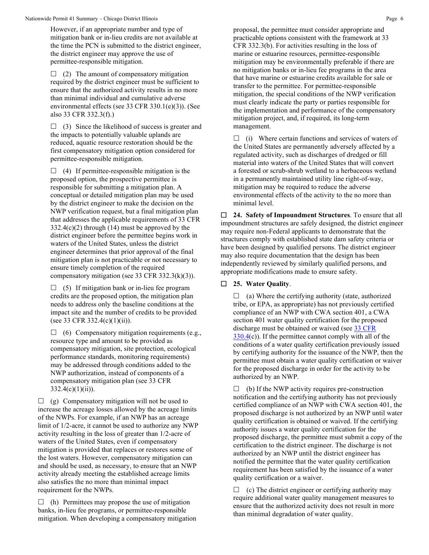However, if an appropriate number and type of mitigation bank or in-lieu credits are not available at the time the PCN is submitted to the district engineer, the district engineer may approve the use of permittee-responsible mitigation.

 $\Box$  (2) The amount of compensatory mitigation required by the district engineer must be sufficient to ensure that the authorized activity results in no more than minimal individual and cumulative adverse environmental effects (see 33 CFR 330.1(e)(3)). (See also 33 CFR 332.3(f).)

 $\Box$  (3) Since the likelihood of success is greater and the impacts to potentially valuable uplands are reduced, aquatic resource restoration should be the first compensatory mitigation option considered for permittee-responsible mitigation.

 $\Box$  (4) If permittee-responsible mitigation is the proposed option, the prospective permittee is responsible for submitting a mitigation plan. A conceptual or detailed mitigation plan may be used by the district engineer to make the decision on the NWP verification request, but a final mitigation plan that addresses the applicable requirements of 33 CFR  $332.4(c)(2)$  through (14) must be approved by the district engineer before the permittee begins work in waters of the United States, unless the district engineer determines that prior approval of the final mitigation plan is not practicable or not necessary to ensure timely completion of the required compensatory mitigation (see 33 CFR 332.3(k)(3)).

 $\Box$  (5) If mitigation bank or in-lieu fee program credits are the proposed option, the mitigation plan needs to address only the baseline conditions at the impact site and the number of credits to be provided (see 33 CFR 332.4(c)(1)(ii)).

 $\Box$  (6) Compensatory mitigation requirements (e.g., resource type and amount to be provided as compensatory mitigation, site protection, ecological performance standards, monitoring requirements) may be addressed through conditions added to the NWP authorization, instead of components of a compensatory mitigation plan (see 33 CFR  $332.4(c)(1)(ii)$ ).

 $\Box$  (g) Compensatory mitigation will not be used to increase the acreage losses allowed by the acreage limits of the NWPs. For example, if an NWP has an acreage limit of 1/2-acre, it cannot be used to authorize any NWP activity resulting in the loss of greater than 1/2-acre of waters of the United States, even if compensatory mitigation is provided that replaces or restores some of the lost waters. However, compensatory mitigation can and should be used, as necessary, to ensure that an NWP activity already meeting the established acreage limits also satisfies the no more than minimal impact requirement for the NWPs.

 $\Box$  (h) Permittees may propose the use of mitigation banks, in-lieu fee programs, or permittee-responsible mitigation. When developing a compensatory mitigation proposal, the permittee must consider appropriate and practicable options consistent with the framework at 33 CFR 332.3(b). For activities resulting in the loss of marine or estuarine resources, permittee-responsible mitigation may be environmentally preferable if there are no mitigation banks or in-lieu fee programs in the area that have marine or estuarine credits available for sale or transfer to the permittee. For permittee-responsible mitigation, the special conditions of the NWP verification must clearly indicate the party or parties responsible for the implementation and performance of the compensatory mitigation project, and, if required, its long-term management.

 $\Box$  (i) Where certain functions and services of waters of the United States are permanently adversely affected by a regulated activity, such as discharges of dredged or fill material into waters of the United States that will convert a forested or scrub-shrub wetland to a herbaceous wetland in a permanently maintained utility line right-of-way, mitigation may be required to reduce the adverse environmental effects of the activity to the no more than minimal level.

 **24. Safety of Impoundment Structures**. To ensure that all impoundment structures are safely designed, the district engineer may require non-Federal applicants to demonstrate that the structures comply with established state dam safety criteria or have been designed by qualified persons. The district engineer may also require documentation that the design has been independently reviewed by similarly qualified persons, and appropriate modifications made to ensure safety.

# **25. Water Quality**.

 $\Box$  (a) Where the certifying authority (state, authorized tribe, or EPA, as appropriate) has not previously certified compliance of an NWP with CWA section 401, a CWA section 401 water quality certification for the proposed discharge must be obtained or waived (see [33 CFR](https://www.federalregister.gov/select-citation/2021/01/13/33-CFR-330.4)  [330.4\(](https://www.federalregister.gov/select-citation/2021/01/13/33-CFR-330.4)c)). If the permittee cannot comply with all of the conditions of a water quality certification previously issued by certifying authority for the issuance of the NWP, then the permittee must obtain a water quality certification or waiver for the proposed discharge in order for the activity to be authorized by an NWP.

 $\Box$  (b) If the NWP activity requires pre-construction notification and the certifying authority has not previously certified compliance of an NWP with CWA section 401, the proposed discharge is not authorized by an NWP until water quality certification is obtained or waived. If the certifying authority issues a water quality certification for the proposed discharge, the permittee must submit a copy of the certification to the district engineer. The discharge is not authorized by an NWP until the district engineer has notified the permittee that the water quality certification requirement has been satisfied by the issuance of a water quality certification or a waiver.

 $\Box$  (c) The district engineer or certifying authority may require additional water quality management measures to ensure that the authorized activity does not result in more than minimal degradation of water quality.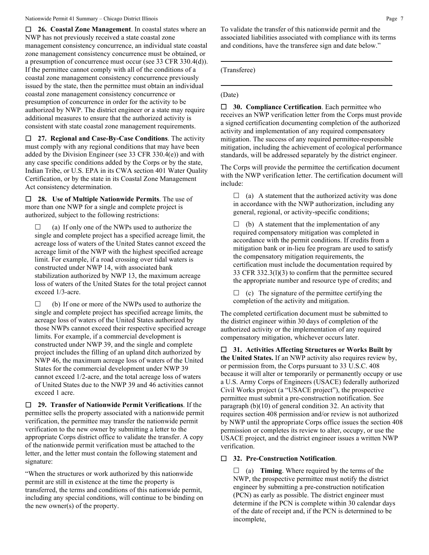**26. Coastal Zone Management**. In coastal states where an NWP has not previously received a state coastal zone management consistency concurrence, an individual state coastal zone management consistency concurrence must be obtained, or a presumption of concurrence must occur (see 33 CFR 330.4(d)). If the permittee cannot comply with all of the conditions of a coastal zone management consistency concurrence previously issued by the state, then the permittee must obtain an individual coastal zone management consistency concurrence or presumption of concurrence in order for the activity to be authorized by NWP. The district engineer or a state may require additional measures to ensure that the authorized activity is consistent with state coastal zone management requirements.

 **27. Regional and Case-By-Case Conditions**. The activity must comply with any regional conditions that may have been added by the Division Engineer (see 33 CFR 330.4(e)) and with any case specific conditions added by the Corps or by the state, Indian Tribe, or U.S. EPA in its CWA section 401 Water Quality Certification, or by the state in its Coastal Zone Management Act consistency determination.

 **28. Use of Multiple Nationwide Permits**. The use of more than one NWP for a single and complete project is authorized, subject to the following restrictions:

 $\Box$  (a) If only one of the NWPs used to authorize the single and complete project has a specified acreage limit, the acreage loss of waters of the United States cannot exceed the acreage limit of the NWP with the highest specified acreage limit. For example, if a road crossing over tidal waters is constructed under NWP 14, with associated bank stabilization authorized by NWP 13, the maximum acreage loss of waters of the United States for the total project cannot exceed 1/3-acre.

 $\Box$  (b) If one or more of the NWPs used to authorize the single and complete project has specified acreage limits, the acreage loss of waters of the United States authorized by those NWPs cannot exceed their respective specified acreage limits. For example, if a commercial development is constructed under NWP 39, and the single and complete project includes the filling of an upland ditch authorized by NWP 46, the maximum acreage loss of waters of the United States for the commercial development under NWP 39 cannot exceed 1/2-acre, and the total acreage loss of waters of United States due to the NWP 39 and 46 activities cannot exceed 1 acre.

 **29. Transfer of Nationwide Permit Verifications**. If the permittee sells the property associated with a nationwide permit verification, the permittee may transfer the nationwide permit verification to the new owner by submitting a letter to the appropriate Corps district office to validate the transfer. A copy of the nationwide permit verification must be attached to the letter, and the letter must contain the following statement and signature:

"When the structures or work authorized by this nationwide permit are still in existence at the time the property is transferred, the terms and conditions of this nationwide permit, including any special conditions, will continue to be binding on the new owner(s) of the property.

To validate the transfer of this nationwide permit and the associated liabilities associated with compliance with its terms and conditions, have the transferee sign and date below."

(Transferee)

# (Date)

 **30. Compliance Certification**. Each permittee who receives an NWP verification letter from the Corps must provide a signed certification documenting completion of the authorized activity and implementation of any required compensatory mitigation. The success of any required permittee-responsible mitigation, including the achievement of ecological performance standards, will be addressed separately by the district engineer.

The Corps will provide the permittee the certification document with the NWP verification letter. The certification document will include:

 $\Box$  (a) A statement that the authorized activity was done in accordance with the NWP authorization, including any general, regional, or activity-specific conditions;

 $\Box$  (b) A statement that the implementation of any required compensatory mitigation was completed in accordance with the permit conditions. If credits from a mitigation bank or in-lieu fee program are used to satisfy the compensatory mitigation requirements, the certification must include the documentation required by 33 CFR 332.3(l)(3) to confirm that the permittee secured the appropriate number and resource type of credits; and

 $\Box$  (c) The signature of the permittee certifying the completion of the activity and mitigation.

The completed certification document must be submitted to the district engineer within 30 days of completion of the authorized activity or the implementation of any required compensatory mitigation, whichever occurs later.

 **31. Activities Affecting Structures or Works Built by the United States.** If an NWP activity also requires review by, or permission from, the Corps pursuant to 33 U.S.C. 408 because it will alter or temporarily or permanently occupy or use a U.S. Army Corps of Engineers (USACE) federally authorized Civil Works project (a "USACE project"), the prospective permittee must submit a pre-construction notification. See paragraph (b)(10) of general condition 32. An activity that requires section 408 permission and/or review is not authorized by NWP until the appropriate Corps office issues the section 408 permission or completes its review to alter, occupy, or use the USACE project, and the district engineer issues a written NWP verification.

# **32. Pre-Construction Notification**.

 $\Box$  (a) **Timing**. Where required by the terms of the NWP, the prospective permittee must notify the district engineer by submitting a pre-construction notification (PCN) as early as possible. The district engineer must determine if the PCN is complete within 30 calendar days of the date of receipt and, if the PCN is determined to be incomplete,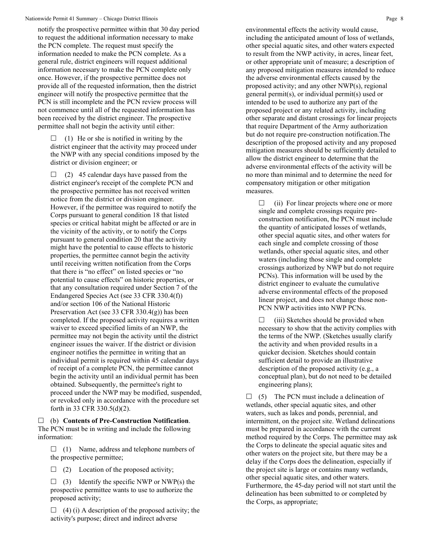notify the prospective permittee within that 30 day period to request the additional information necessary to make the PCN complete. The request must specify the information needed to make the PCN complete. As a general rule, district engineers will request additional information necessary to make the PCN complete only once. However, if the prospective permittee does not provide all of the requested information, then the district engineer will notify the prospective permittee that the PCN is still incomplete and the PCN review process will not commence until all of the requested information has been received by the district engineer. The prospective permittee shall not begin the activity until either:

 $\Box$  (1) He or she is notified in writing by the district engineer that the activity may proceed under the NWP with any special conditions imposed by the district or division engineer; or

 $\Box$  (2) 45 calendar days have passed from the district engineer's receipt of the complete PCN and the prospective permittee has not received written notice from the district or division engineer. However, if the permittee was required to notify the Corps pursuant to general condition 18 that listed species or critical habitat might be affected or are in the vicinity of the activity, or to notify the Corps pursuant to general condition 20 that the activity might have the potential to cause effects to historic properties, the permittee cannot begin the activity until receiving written notification from the Corps that there is "no effect" on listed species or "no potential to cause effects" on historic properties, or that any consultation required under Section 7 of the Endangered Species Act (see 33 CFR 330.4(f)) and/or section 106 of the National Historic Preservation Act (see 33 CFR 330.4(g)) has been completed. If the proposed activity requires a written waiver to exceed specified limits of an NWP, the permittee may not begin the activity until the district engineer issues the waiver. If the district or division engineer notifies the permittee in writing that an individual permit is required within 45 calendar days of receipt of a complete PCN, the permittee cannot begin the activity until an individual permit has been obtained. Subsequently, the permittee's right to proceed under the NWP may be modified, suspended, or revoked only in accordance with the procedure set forth in 33 CFR 330.5(d)(2).

 (b) **Contents of Pre-Construction Notification**. The PCN must be in writing and include the following information:

 $\Box$  (1) Name, address and telephone numbers of the prospective permittee;

 $\Box$  (2) Location of the proposed activity;

 $\Box$  (3) Identify the specific NWP or NWP(s) the prospective permittee wants to use to authorize the proposed activity;

 $\Box$  (4) (i) A description of the proposed activity; the activity's purpose; direct and indirect adverse

environmental effects the activity would cause, including the anticipated amount of loss of wetlands, other special aquatic sites, and other waters expected to result from the NWP activity, in acres, linear feet, or other appropriate unit of measure; a description of any proposed mitigation measures intended to reduce the adverse environmental effects caused by the proposed activity; and any other NWP(s), regional general permit(s), or individual permit(s) used or intended to be used to authorize any part of the proposed project or any related activity, including other separate and distant crossings for linear projects that require Department of the Army authorization but do not require pre-construction notification.The description of the proposed activity and any proposed mitigation measures should be sufficiently detailed to allow the district engineer to determine that the adverse environmental effects of the activity will be no more than minimal and to determine the need for compensatory mitigation or other mitigation measures.

 $\Box$  (ii) For linear projects where one or more single and complete crossings require preconstruction notification, the PCN must include the quantity of anticipated losses of wetlands, other special aquatic sites, and other waters for each single and complete crossing of those wetlands, other special aquatic sites, and other waters (including those single and complete crossings authorized by NWP but do not require PCNs). This information will be used by the district engineer to evaluate the cumulative adverse environmental effects of the proposed linear project, and does not change those non-PCN NWP activities into NWP PCNs.

 $\Box$  (iii) Sketches should be provided when necessary to show that the activity complies with the terms of the NWP. (Sketches usually clarify the activity and when provided results in a quicker decision. Sketches should contain sufficient detail to provide an illustrative description of the proposed activity (e.g., a conceptual plan), but do not need to be detailed engineering plans);

 $\Box$  (5) The PCN must include a delineation of wetlands, other special aquatic sites, and other waters, such as lakes and ponds, perennial, and intermittent, on the project site. Wetland delineations must be prepared in accordance with the current method required by the Corps. The permittee may ask the Corps to delineate the special aquatic sites and other waters on the project site, but there may be a delay if the Corps does the delineation, especially if the project site is large or contains many wetlands, other special aquatic sites, and other waters. Furthermore, the 45-day period will not start until the delineation has been submitted to or completed by the Corps, as appropriate;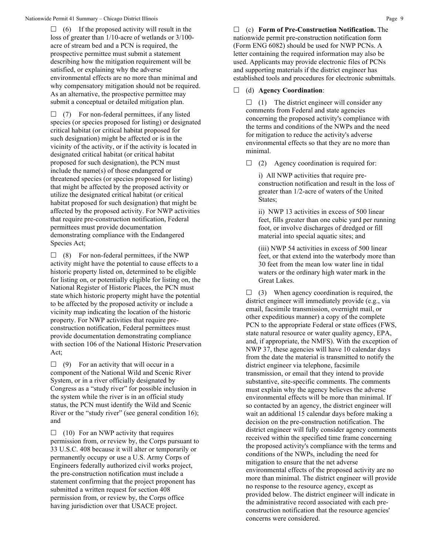$\Box$  (6) If the proposed activity will result in the loss of greater than 1/10-acre of wetlands or 3/100 acre of stream bed and a PCN is required, the prospective permittee must submit a statement describing how the mitigation requirement will be satisfied, or explaining why the adverse environmental effects are no more than minimal and why compensatory mitigation should not be required. As an alternative, the prospective permittee may submit a conceptual or detailed mitigation plan.

 $\Box$  (7) For non-federal permittees, if any listed species (or species proposed for listing) or designated critical habitat (or critical habitat proposed for such designation) might be affected or is in the vicinity of the activity, or if the activity is located in designated critical habitat (or critical habitat proposed for such designation), the PCN must include the name(s) of those endangered or threatened species (or species proposed for listing) that might be affected by the proposed activity or utilize the designated critical habitat (or critical habitat proposed for such designation) that might be affected by the proposed activity. For NWP activities that require pre-construction notification, Federal permittees must provide documentation demonstrating compliance with the Endangered Species Act;

 $\Box$  (8) For non-federal permittees, if the NWP activity might have the potential to cause effects to a historic property listed on, determined to be eligible for listing on, or potentially eligible for listing on, the National Register of Historic Places, the PCN must state which historic property might have the potential to be affected by the proposed activity or include a vicinity map indicating the location of the historic property. For NWP activities that require preconstruction notification, Federal permittees must provide documentation demonstrating compliance with section 106 of the National Historic Preservation Act;

 $\Box$  (9) For an activity that will occur in a component of the National Wild and Scenic River System, or in a river officially designated by Congress as a "study river" for possible inclusion in the system while the river is in an official study status, the PCN must identify the Wild and Scenic River or the "study river" (see general condition 16); and

 $\Box$  (10) For an NWP activity that requires permission from, or review by, the Corps pursuant to 33 U.S.C. 408 because it will alter or temporarily or permanently occupy or use a U.S. Army Corps of Engineers federally authorized civil works project, the pre-construction notification must include a statement confirming that the project proponent has submitted a written request for section 408 permission from, or review by, the Corps office having jurisdiction over that USACE project.

 (c) **Form of Pre-Construction Notification.** The nationwide permit pre-construction notification form (Form ENG 6082) should be used for NWP PCNs. A letter containing the required information may also be used. Applicants may provide electronic files of PCNs and supporting materials if the district engineer has established tools and procedures for electronic submittals.

## (d) **Agency Coordination**:

 $\Box$  (1) The district engineer will consider any comments from Federal and state agencies concerning the proposed activity's compliance with the terms and conditions of the NWPs and the need for mitigation to reduce the activity's adverse environmental effects so that they are no more than minimal.

 $\Box$  (2) Agency coordination is required for:

i) All NWP activities that require preconstruction notification and result in the loss of greater than 1/2-acre of waters of the United States;

ii) NWP 13 activities in excess of 500 linear feet, fills greater than one cubic yard per running foot, or involve discharges of dredged or fill material into special aquatic sites; and

(iii) NWP 54 activities in excess of 500 linear feet, or that extend into the waterbody more than 30 feet from the mean low water line in tidal waters or the ordinary high water mark in the Great Lakes.

 $\Box$  (3) When agency coordination is required, the district engineer will immediately provide (e.g., via email, facsimile transmission, overnight mail, or other expeditious manner) a copy of the complete PCN to the appropriate Federal or state offices (FWS, state natural resource or water quality agency, EPA, and, if appropriate, the NMFS). With the exception of NWP 37, these agencies will have 10 calendar days from the date the material is transmitted to notify the district engineer via telephone, facsimile transmission, or email that they intend to provide substantive, site-specific comments. The comments must explain why the agency believes the adverse environmental effects will be more than minimal. If so contacted by an agency, the district engineer will wait an additional 15 calendar days before making a decision on the pre-construction notification. The district engineer will fully consider agency comments received within the specified time frame concerning the proposed activity's compliance with the terms and conditions of the NWPs, including the need for mitigation to ensure that the net adverse environmental effects of the proposed activity are no more than minimal. The district engineer will provide no response to the resource agency, except as provided below. The district engineer will indicate in the administrative record associated with each preconstruction notification that the resource agencies' concerns were considered.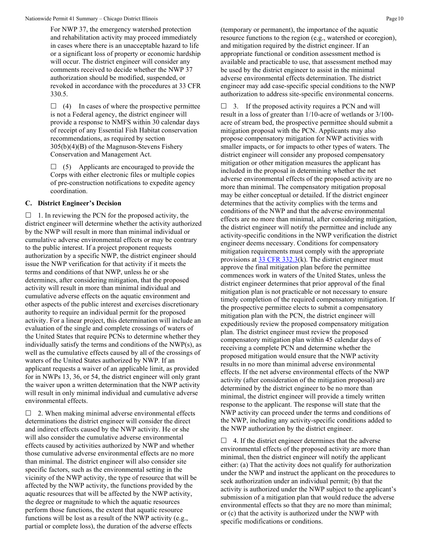For NWP 37, the emergency watershed protection and rehabilitation activity may proceed immediately in cases where there is an unacceptable hazard to life or a significant loss of property or economic hardship will occur. The district engineer will consider any comments received to decide whether the NWP 37 authorization should be modified, suspended, or revoked in accordance with the procedures at 33 CFR 330.5.

 $\Box$  (4) In cases of where the prospective permittee is not a Federal agency, the district engineer will provide a response to NMFS within 30 calendar days of receipt of any Essential Fish Habitat conservation recommendations, as required by section 305(b)(4)(B) of the Magnuson-Stevens Fishery Conservation and Management Act.

 $\Box$  (5) Applicants are encouraged to provide the Corps with either electronic files or multiple copies of pre-construction notifications to expedite agency coordination.

## **C. District Engineer's Decision**

 $\Box$  1. In reviewing the PCN for the proposed activity, the district engineer will determine whether the activity authorized by the NWP will result in more than minimal individual or cumulative adverse environmental effects or may be contrary to the public interest. If a project proponent requests authorization by a specific NWP, the district engineer should issue the NWP verification for that activity if it meets the terms and conditions of that NWP, unless he or she determines, after considering mitigation, that the proposed activity will result in more than minimal individual and cumulative adverse effects on the aquatic environment and other aspects of the public interest and exercises discretionary authority to require an individual permit for the proposed activity. For a linear project, this determination will include an evaluation of the single and complete crossings of waters of the United States that require PCNs to determine whether they individually satisfy the terms and conditions of the  $NWP(s)$ , as well as the cumulative effects caused by all of the crossings of waters of the United States authorized by NWP. If an applicant requests a waiver of an applicable limit, as provided for in NWPs 13, 36, or 54, the district engineer will only grant the waiver upon a written determination that the NWP activity will result in only minimal individual and cumulative adverse environmental effects.

 $\Box$  2. When making minimal adverse environmental effects determinations the district engineer will consider the direct and indirect effects caused by the NWP activity. He or she will also consider the cumulative adverse environmental effects caused by activities authorized by NWP and whether those cumulative adverse environmental effects are no more than minimal. The district engineer will also consider site specific factors, such as the environmental setting in the vicinity of the NWP activity, the type of resource that will be affected by the NWP activity, the functions provided by the aquatic resources that will be affected by the NWP activity, the degree or magnitude to which the aquatic resources perform those functions, the extent that aquatic resource functions will be lost as a result of the NWP activity (e.g., partial or complete loss), the duration of the adverse effects

(temporary or permanent), the importance of the aquatic resource functions to the region (e.g., watershed or ecoregion), and mitigation required by the district engineer. If an appropriate functional or condition assessment method is available and practicable to use, that assessment method may be used by the district engineer to assist in the minimal adverse environmental effects determination. The district engineer may add case-specific special conditions to the NWP authorization to address site-specific environmental concerns.

 $\Box$  3. If the proposed activity requires a PCN and will result in a loss of greater than 1/10-acre of wetlands or 3/100 acre of stream bed, the prospective permittee should submit a mitigation proposal with the PCN. Applicants may also propose compensatory mitigation for NWP activities with smaller impacts, or for impacts to other types of waters. The district engineer will consider any proposed compensatory mitigation or other mitigation measures the applicant has included in the proposal in determining whether the net adverse environmental effects of the proposed activity are no more than minimal. The compensatory mitigation proposal may be either conceptual or detailed. If the district engineer determines that the activity complies with the terms and conditions of the NWP and that the adverse environmental effects are no more than minimal, after considering mitigation, the district engineer will notify the permittee and include any activity-specific conditions in the NWP verification the district engineer deems necessary. Conditions for compensatory mitigation requirements must comply with the appropriate provisions at  $33 \text{ CFR } 332.3(k)$ . The district engineer must approve the final mitigation plan before the permittee commences work in waters of the United States, unless the district engineer determines that prior approval of the final mitigation plan is not practicable or not necessary to ensure timely completion of the required compensatory mitigation. If the prospective permittee elects to submit a compensatory mitigation plan with the PCN, the district engineer will expeditiously review the proposed compensatory mitigation plan. The district engineer must review the proposed compensatory mitigation plan within 45 calendar days of receiving a complete PCN and determine whether the proposed mitigation would ensure that the NWP activity results in no more than minimal adverse environmental effects. If the net adverse environmental effects of the NWP activity (after consideration of the mitigation proposal) are determined by the district engineer to be no more than minimal, the district engineer will provide a timely written response to the applicant. The response will state that the NWP activity can proceed under the terms and conditions of the NWP, including any activity-specific conditions added to the NWP authorization by the district engineer.

 $\Box$  4. If the district engineer determines that the adverse environmental effects of the proposed activity are more than minimal, then the district engineer will notify the applicant either: (a) That the activity does not qualify for authorization under the NWP and instruct the applicant on the procedures to seek authorization under an individual permit; (b) that the activity is authorized under the NWP subject to the applicant's submission of a mitigation plan that would reduce the adverse environmental effects so that they are no more than minimal; or (c) that the activity is authorized under the NWP with specific modifications or conditions.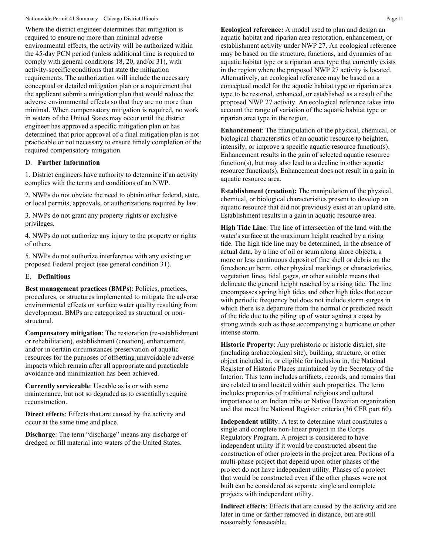#### Nationwide Permit 41 Summary – Chicago District Illinois Page 11

Where the district engineer determines that mitigation is required to ensure no more than minimal adverse environmental effects, the activity will be authorized within the 45-day PCN period (unless additional time is required to comply with general conditions 18, 20, and/or 31), with activity-specific conditions that state the mitigation requirements. The authorization will include the necessary conceptual or detailed mitigation plan or a requirement that the applicant submit a mitigation plan that would reduce the adverse environmental effects so that they are no more than minimal. When compensatory mitigation is required, no work in waters of the United States may occur until the district engineer has approved a specific mitigation plan or has determined that prior approval of a final mitigation plan is not practicable or not necessary to ensure timely completion of the required compensatory mitigation.

## D. **Further Information**

1. District engineers have authority to determine if an activity complies with the terms and conditions of an NWP.

2. NWPs do not obviate the need to obtain other federal, state, or local permits, approvals, or authorizations required by law.

3. NWPs do not grant any property rights or exclusive privileges.

4. NWPs do not authorize any injury to the property or rights of others.

5. NWPs do not authorize interference with any existing or proposed Federal project (see general condition 31).

#### E. **Definitions**

**Best management practices (BMPs)**: Policies, practices, procedures, or structures implemented to mitigate the adverse environmental effects on surface water quality resulting from development. BMPs are categorized as structural or nonstructural.

**Compensatory mitigation**: The restoration (re-establishment or rehabilitation), establishment (creation), enhancement, and/or in certain circumstances preservation of aquatic resources for the purposes of offsetting unavoidable adverse impacts which remain after all appropriate and practicable avoidance and minimization has been achieved.

**Currently serviceable**: Useable as is or with some maintenance, but not so degraded as to essentially require reconstruction.

**Direct effects**: Effects that are caused by the activity and occur at the same time and place.

**Discharge**: The term "discharge" means any discharge of dredged or fill material into waters of the United States.

**Ecological reference:** A model used to plan and design an aquatic habitat and riparian area restoration, enhancement, or establishment activity under NWP 27. An ecological reference may be based on the structure, functions, and dynamics of an aquatic habitat type or a riparian area type that currently exists in the region where the proposed NWP 27 activity is located. Alternatively, an ecological reference may be based on a conceptual model for the aquatic habitat type or riparian area type to be restored, enhanced, or established as a result of the proposed NWP 27 activity. An ecological reference takes into account the range of variation of the aquatic habitat type or riparian area type in the region.

**Enhancement**: The manipulation of the physical, chemical, or biological characteristics of an aquatic resource to heighten, intensify, or improve a specific aquatic resource function(s). Enhancement results in the gain of selected aquatic resource function(s), but may also lead to a decline in other aquatic resource function(s). Enhancement does not result in a gain in aquatic resource area.

**Establishment (creation):** The manipulation of the physical, chemical, or biological characteristics present to develop an aquatic resource that did not previously exist at an upland site. Establishment results in a gain in aquatic resource area.

**High Tide Line**: The line of intersection of the land with the water's surface at the maximum height reached by a rising tide. The high tide line may be determined, in the absence of actual data, by a line of oil or scum along shore objects, a more or less continuous deposit of fine shell or debris on the foreshore or berm, other physical markings or characteristics, vegetation lines, tidal gages, or other suitable means that delineate the general height reached by a rising tide. The line encompasses spring high tides and other high tides that occur with periodic frequency but does not include storm surges in which there is a departure from the normal or predicted reach of the tide due to the piling up of water against a coast by strong winds such as those accompanying a hurricane or other intense storm.

**Historic Property**: Any prehistoric or historic district, site (including archaeological site), building, structure, or other object included in, or eligible for inclusion in, the National Register of Historic Places maintained by the Secretary of the Interior. This term includes artifacts, records, and remains that are related to and located within such properties. The term includes properties of traditional religious and cultural importance to an Indian tribe or Native Hawaiian organization and that meet the National Register criteria (36 CFR part 60).

**Independent utility**: A test to determine what constitutes a single and complete non-linear project in the Corps Regulatory Program. A project is considered to have independent utility if it would be constructed absent the construction of other projects in the project area. Portions of a multi-phase project that depend upon other phases of the project do not have independent utility. Phases of a project that would be constructed even if the other phases were not built can be considered as separate single and complete projects with independent utility.

**Indirect effects**: Effects that are caused by the activity and are later in time or farther removed in distance, but are still reasonably foreseeable.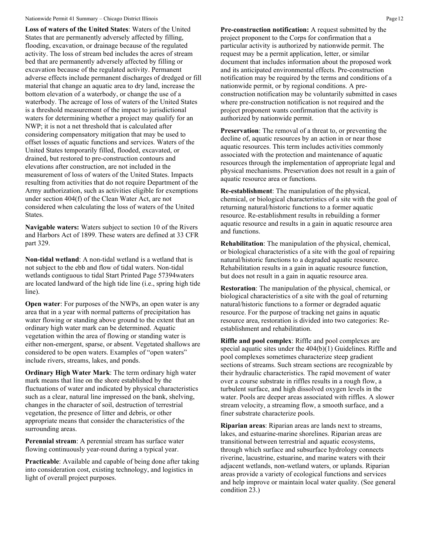#### Nationwide Permit 41 Summary – Chicago District Illinois Page 12

**Loss of waters of the United States**: Waters of the United States that are permanently adversely affected by filling, flooding, excavation, or drainage because of the regulated activity. The loss of stream bed includes the acres of stream bed that are permanently adversely affected by filling or excavation because of the regulated activity. Permanent adverse effects include permanent discharges of dredged or fill material that change an aquatic area to dry land, increase the bottom elevation of a waterbody, or change the use of a waterbody. The acreage of loss of waters of the United States is a threshold measurement of the impact to jurisdictional waters for determining whether a project may qualify for an NWP; it is not a net threshold that is calculated after considering compensatory mitigation that may be used to offset losses of aquatic functions and services. Waters of the United States temporarily filled, flooded, excavated, or drained, but restored to pre-construction contours and elevations after construction, are not included in the measurement of loss of waters of the United States. Impacts resulting from activities that do not require Department of the Army authorization, such as activities eligible for exemptions under section 404(f) of the Clean Water Act, are not considered when calculating the loss of waters of the United States.

**Navigable waters:** Waters subject to section 10 of the Rivers and Harbors Act of 1899. These waters are defined at 33 CFR part 329.

**Non-tidal wetland**: A non-tidal wetland is a wetland that is not subject to the ebb and flow of tidal waters. Non-tidal wetlands contiguous to tidal Start Printed Page 57394waters are located landward of the high tide line (i.e., spring high tide line).

**Open water**: For purposes of the NWPs, an open water is any area that in a year with normal patterns of precipitation has water flowing or standing above ground to the extent that an ordinary high water mark can be determined. Aquatic vegetation within the area of flowing or standing water is either non-emergent, sparse, or absent. Vegetated shallows are considered to be open waters. Examples of "open waters" include rivers, streams, lakes, and ponds.

**Ordinary High Water Mark**: The term ordinary high water mark means that line on the shore established by the fluctuations of water and indicated by physical characteristics such as a clear, natural line impressed on the bank, shelving, changes in the character of soil, destruction of terrestrial vegetation, the presence of litter and debris, or other appropriate means that consider the characteristics of the surrounding areas.

**Perennial stream**: A perennial stream has surface water flowing continuously year-round during a typical year.

**Practicable**: Available and capable of being done after taking into consideration cost, existing technology, and logistics in light of overall project purposes.

**Pre-construction notification:** A request submitted by the project proponent to the Corps for confirmation that a particular activity is authorized by nationwide permit. The request may be a permit application, letter, or similar document that includes information about the proposed work and its anticipated environmental effects. Pre-construction notification may be required by the terms and conditions of a nationwide permit, or by regional conditions. A preconstruction notification may be voluntarily submitted in cases where pre-construction notification is not required and the project proponent wants confirmation that the activity is authorized by nationwide permit.

**Preservation**: The removal of a threat to, or preventing the decline of, aquatic resources by an action in or near those aquatic resources. This term includes activities commonly associated with the protection and maintenance of aquatic resources through the implementation of appropriate legal and physical mechanisms. Preservation does not result in a gain of aquatic resource area or functions.

**Re-establishment**: The manipulation of the physical, chemical, or biological characteristics of a site with the goal of returning natural/historic functions to a former aquatic resource. Re-establishment results in rebuilding a former aquatic resource and results in a gain in aquatic resource area and functions.

**Rehabilitation**: The manipulation of the physical, chemical, or biological characteristics of a site with the goal of repairing natural/historic functions to a degraded aquatic resource. Rehabilitation results in a gain in aquatic resource function, but does not result in a gain in aquatic resource area.

**Restoration**: The manipulation of the physical, chemical, or biological characteristics of a site with the goal of returning natural/historic functions to a former or degraded aquatic resource. For the purpose of tracking net gains in aquatic resource area, restoration is divided into two categories: Reestablishment and rehabilitation.

**Riffle and pool complex**: Riffle and pool complexes are special aquatic sites under the 404(b)(1) Guidelines. Riffle and pool complexes sometimes characterize steep gradient sections of streams. Such stream sections are recognizable by their hydraulic characteristics. The rapid movement of water over a course substrate in riffles results in a rough flow, a turbulent surface, and high dissolved oxygen levels in the water. Pools are deeper areas associated with riffles. A slower stream velocity, a streaming flow, a smooth surface, and a finer substrate characterize pools.

**Riparian areas**: Riparian areas are lands next to streams, lakes, and estuarine-marine shorelines. Riparian areas are transitional between terrestrial and aquatic ecosystems, through which surface and subsurface hydrology connects riverine, lacustrine, estuarine, and marine waters with their adjacent wetlands, non-wetland waters, or uplands. Riparian areas provide a variety of ecological functions and services and help improve or maintain local water quality. (See general condition 23.)